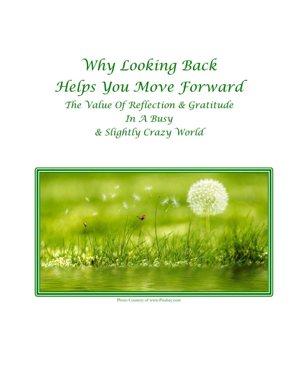*Why Looking Back Helps You Move Forward The Value Of Reflection & Gratitude In A Busy & Slightly Crazy World*



Photo Courtesy of www.Pixabay.com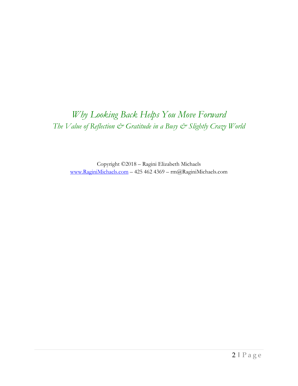## *Why Looking Back Helps You Move Forward The Value of Reflection & Gratitude in a Busy & Slightly Crazy World*

Copyright ©2018 – Ragini Elizabeth Michaels [www.RaginiMichaels.com](http://www.raginimichaels.com/) – 425 462 4369 – rm@RaginiMichaels.com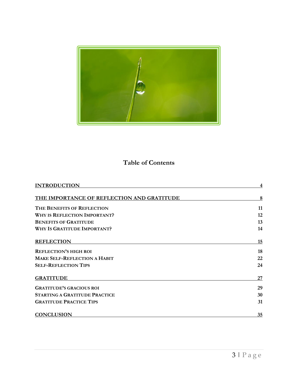

## **Table of Contents**

| <b>INTRODUCTION</b>                        |    |
|--------------------------------------------|----|
| THE IMPORTANCE OF REFLECTION AND GRATITUDE | 8  |
| THE BENEFITS OF REFLECTION                 | 11 |
| <b>WHY IS REFLECTION IMPORTANT?</b>        | 12 |
| <b>BENEFITS OF GRATITUDE</b>               | 13 |
| <b>WHY IS GRATITUDE IMPORTANT?</b>         | 14 |
| <b>REFLECTION</b>                          | 15 |
| <b>REFLECTION'S HIGH ROI</b>               | 18 |
| <b>MAKE SELF-REFLECTION A HABIT</b>        | 22 |
| <b>SELF-REFLECTION TIPS</b>                | 24 |
| <b>GRATITUDE</b>                           | 27 |
| <b>GRATITUDE'S GRACIOUS ROI</b>            | 29 |
| <b>STARTING A GRATITUDE PRACTICE</b>       | 30 |
| <b>GRATITUDE PRACTICE TIPS</b>             | 31 |
| <b>CONCLUSION</b>                          | 35 |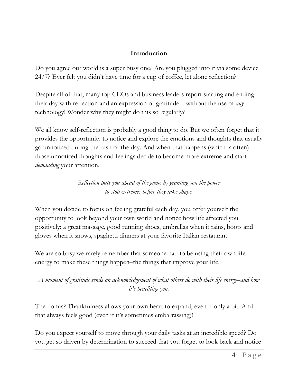#### **Introduction**

<span id="page-3-0"></span>Do you agree our world is a super busy one? Are you plugged into it via some device 24/7? Ever felt you didn't have time for a cup of coffee, let alone reflection?

Despite all of that, many top CEOs and business leaders report starting and ending their day with reflection and an expression of gratitude—without the use of *any* technology! Wonder why they might do this so regularly?

We all know self-reflection is probably a good thing to do. But we often forget that it provides the opportunity to notice and explore the emotions and thoughts that usually go unnoticed during the rush of the day. And when that happens (which is often) those unnoticed thoughts and feelings decide to become more extreme and start *demanding* your attention.

> *Reflection puts you ahead of the game by granting you the power to stop extremes before they take shape.*

When you decide to focus on feeling grateful each day, you offer yourself the opportunity to look beyond your own world and notice how life affected you positively: a great massage, good running shoes, umbrellas when it rains, boots and gloves when it snows, spaghetti dinners at your favorite Italian restaurant.

We are so busy we rarely remember that someone had to be using their own life energy to make these things happen–the things that improve your life.

*A moment of gratitude sends an acknowledgement of what others do with their life energy–and how it's benefiting you.*

The bonus? Thankfulness allows your own heart to expand, even if only a bit. And that always feels good (even if it's sometimes embarrassing)!

Do you expect yourself to move through your daily tasks at an incredible speed? Do you get so driven by determination to succeed that you forget to look back and notice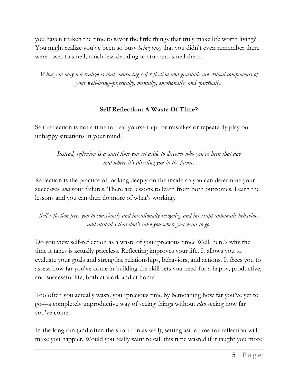you haven't taken the time to savor the little things that truly make life worth living? You might realize you've been so busy *being busy* that you didn't even remember there were roses to smell, much less deciding to stop and smell them.

*What you may not realize is that embracing self-reflection and gratitude are critical components of your well-being–physically, mentally, emotionally, and spiritually.*

#### **Self Reflection: A Waste Of Time?**

Self-reflection is not a time to beat yourself up for mistakes or repeatedly play out unhappy situations in your mind.

*Instead, reflection is a quiet time you set aside to discover who you've been that day and where it's directing you in the future.*

Reflection is the practice of looking deeply on the inside so you can determine your successes *and* your failures. There are lessons to learn from both outcomes. Learn the lessons and you can then do more of what's working.

*Self-reflection frees you to consciously and intentionally recognize and interrupt automatic behaviors and attitudes that don't take you where you want to go.*

Do you view self-reflection as a waste of your precious time? Well, here's why the time it takes is actually priceless. Reflecting improves your life. It allows you to evaluate your goals and strengths, relationships, behaviors, and actions. It frees you to assess how far you've come in building the skill sets you need for a happy, productive, and successful life, both at work and at home.

Too often you actually waste your precious time by bemoaning how far you've yet to go—a completely unproductive way of seeing things without *also* seeing how far you've come.

In the long run (and often the short run as well), setting aside time for reflection will make you happier. Would you really want to call this time wasted if it taught you more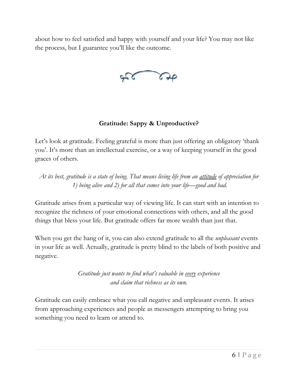about how to feel satisfied and happy with yourself and your life? You may not like the process, but I guarantee you'll like the outcome.

#### **Gratitude: Sappy & Unproductive?**

Let's look at gratitude. Feeling grateful is more than just offering an obligatory 'thank you'. It's more than an intellectual exercise, or a way of keeping yourself in the good graces of others.

*At its best, gratitude is a state of being. That means living life from an attitude of appreciation for 1) being alive and 2) for all that comes into your life—good and bad.*

Gratitude arises from a particular way of viewing life. It can start with an intention to recognize the richness of your emotional connections with others, and all the good things that bless your life. But gratitude offers far more wealth than just that.

When you get the hang of it, you can also extend gratitude to all the *unpleasant* events in your life as well. Actually, gratitude is pretty blind to the labels of both positive and negative.

> *Gratitude just wants to find what's valuable in every experience and claim that richness as its own.*

Gratitude can easily embrace what you call negative and unpleasant events. It arises from approaching experiences and people as messengers attempting to bring you something you need to learn or attend to.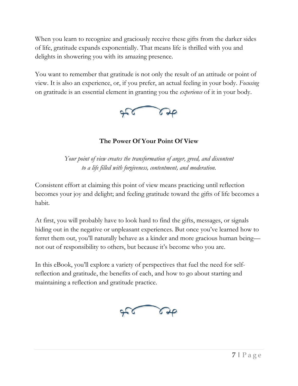When you learn to recognize and graciously receive these gifts from the darker sides of life, gratitude expands exponentially. That means life is thrilled with you and delights in showering you with its amazing presence.

You want to remember that gratitude is not only the result of an attitude or point of view. It is also an experience, or, if you prefer, an actual feeling in your body. *Focusing* on gratitude is an essential element in granting you the *experience* of it in your body.



**The Power Of Your Point Of View**

*Your point of view creates the transformation of anger, greed, and discontent to a life filled with forgiveness, contentment, and moderation.*

Consistent effort at claiming this point of view means practicing until reflection becomes your joy and delight; and feeling gratitude toward the gifts of life becomes a habit.

At first, you will probably have to look hard to find the gifts, messages, or signals hiding out in the negative or unpleasant experiences. But once you've learned how to ferret them out, you'll naturally behave as a kinder and more gracious human being not out of responsibility to others, but because it's become who you are.

In this eBook, you'll explore a variety of perspectives that fuel the need for selfreflection and gratitude, the benefits of each, and how to go about starting and maintaining a reflection and gratitude practice.

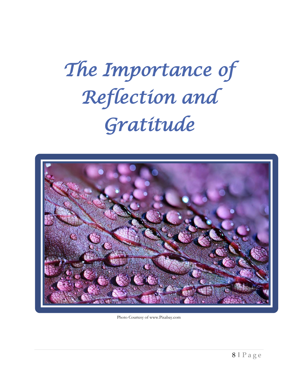# *The Importance of Reflection and Gratitude*



Photo Courtesy of www.Pixabay.com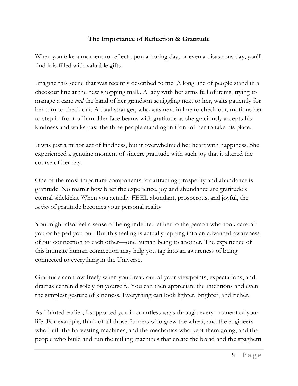#### **The Importance of Reflection & Gratitude**

When you take a moment to reflect upon a boring day, or even a disastrous day, you'll find it is filled with valuable gifts.

Imagine this scene that was recently described to me: A long line of people stand in a checkout line at the new shopping mall.. A lady with her arms full of items, trying to manage a cane *and* the hand of her grandson squiggling next to her, waits patiently for her turn to check out. A total stranger, who was next in line to check out, motions her to step in front of him. Her face beams with gratitude as she graciously accepts his kindness and walks past the three people standing in front of her to take his place.

It was just a minor act of kindness, but it overwhelmed her heart with happiness. She experienced a genuine moment of sincere gratitude with such joy that it altered the course of her day.

One of the most important components for attracting prosperity and abundance is gratitude. No matter how brief the experience, joy and abundance are gratitude's eternal sidekicks. When you actually FEEL abundant, prosperous, and joyful, the *notion* of gratitude becomes your personal reality.

You might also feel a sense of being indebted either to the person who took care of you or helped you out. But this feeling is actually tapping into an advanced awareness of our connection to each other—one human being to another. The experience of this intimate human connection may help you tap into an awareness of being connected to everything in the Universe.

Gratitude can flow freely when you break out of your viewpoints, expectations, and dramas centered solely on yourself.. You can then appreciate the intentions and even the simplest gesture of kindness. Everything can look lighter, brighter, and richer.

As I hinted earlier, I supported you in countless ways through every moment of your life. For example, think of all those farmers who grew the wheat, and the engineers who built the harvesting machines, and the mechanics who kept them going, and the people who build and run the milling machines that create the bread and the spaghetti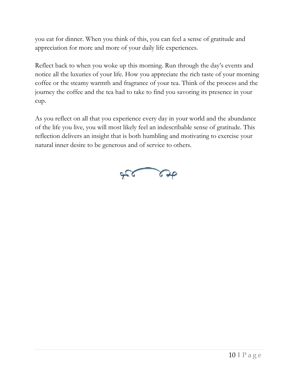you eat for dinner. When you think of this, you can feel a sense of gratitude and appreciation for more and more of your daily life experiences.

Reflect back to when you woke up this morning. Run through the day's events and notice all the luxuries of your life. How you appreciate the rich taste of your morning coffee or the steamy warmth and fragrance of your tea. Think of the process and the journey the coffee and the tea had to take to find you savoring its presence in your cup.

<span id="page-9-0"></span>As you reflect on all that you experience every day in your world and the abundance of the life you live, you will most likely feel an indescribable sense of gratitude. This reflection delivers an insight that is both humbling and motivating to exercise your natural inner desire to be generous and of service to others.

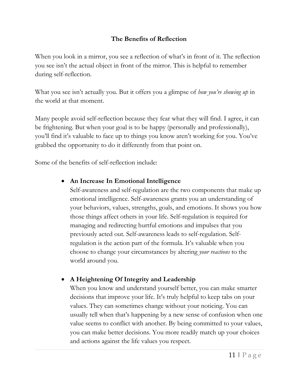#### **The Benefits of Reflection**

When you look in a mirror, you see a reflection of what's in front of it. The reflection you see isn't the actual object in front of the mirror. This is helpful to remember during self-reflection.

What you see isn't actually you. But it offers you a glimpse of *how you're showing up* in the world at that moment.

Many people avoid self-reflection because they fear what they will find. I agree, it can be frightening. But when your goal is to be happy (personally and professionally), you'll find it's valuable to face up to things you know aren't working for you. You've grabbed the opportunity to do it differently from that point on.

Some of the benefits of self-reflection include:

## • **An Increase In Emotional Intelligence**

Self-awareness and self-regulation are the two components that make up emotional intelligence. Self-awareness grants you an understanding of your behaviors, values, strengths, goals, and emotions. It shows you how those things affect others in your life. Self-regulation is required for managing and redirecting hurtful emotions and impulses that you previously acted out. Self-awareness leads to self-regulation. Selfregulation is the action part of the formula. It's valuable when you choose to change your circumstances by altering *your reactions* to the world around you.

## • **A Heightening Of Integrity and Leadership**

When you know and understand yourself better, you can make smarter decisions that improve your life. It's truly helpful to keep tabs on your values. They can sometimes change without your noticing. You can usually tell when that's happening by a new sense of confusion when one value seems to conflict with another. By being committed to your values, you can make better decisions. You more readily match up your choices and actions against the life values you respect.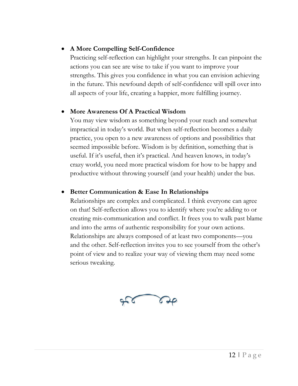#### • **A More Compelling Self-Confidence**

Practicing self-reflection can highlight your strengths. It can pinpoint the actions you can see are wise to take if you want to improve your strengths. This gives you confidence in what you can envision achieving in the future. This newfound depth of self-confidence will spill over into all aspects of your life, creating a happier, more fulfilling journey.

#### • **More Awareness Of A Practical Wisdom**

You may view wisdom as something beyond your reach and somewhat impractical in today's world. But when self-reflection becomes a daily practice, you open to a new awareness of options and possibilities that seemed impossible before. Wisdom is by definition, something that is useful. If it's useful, then it's practical. And heaven knows, in today's crazy world, you need more practical wisdom for how to be happy and productive without throwing yourself (and your health) under the bus.

#### • **Better Communication & Ease In Relationships**

Relationships are complex and complicated. I think everyone can agree on that! Self-reflection allows you to identify where you're adding to or creating mis-communication and conflict. It frees you to walk past blame and into the arms of authentic responsibility for your own actions. Relationships are always composed of at least two components—you and the other. Self-reflection invites you to see yourself from the other's point of view and to realize your way of viewing them may need some serious tweaking.

<span id="page-11-0"></span>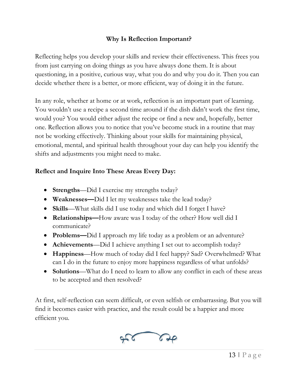#### **Why Is Reflection Important?**

Reflecting helps you develop your skills and review their effectiveness. This frees you from just carrying on doing things as you have always done them. It is about questioning, in a positive, curious way, what you do and why you do it. Then you can decide whether there is a better, or more efficient, way of doing it in the future.

In any role, whether at home or at work, reflection is an important part of learning. You wouldn't use a recipe a second time around if the dish didn't work the first time, would you? You would either adjust the recipe or find a new and, hopefully, better one. Reflection allows you to notice that you've become stuck in a routine that may not be working effectively. Thinking about your skills for maintaining physical, emotional, mental, and spiritual health throughout your day can help you identify the shifts and adjustments you might need to make.

#### **Reflect and Inquire Into These Areas Every Day:**

- **Strengths**—Did I exercise my strengths today?
- **Weaknesses—**Did I let my weaknesses take the lead today?
- **Skills**—What skills did I use today and which did I forget I have?
- **Relationships—**How aware was I today of the other? How well did I communicate?
- **Problems—**Did I approach my life today as a problem or an adventure?
- **Achievements**—Did I achieve anything I set out to accomplish today?
- **Happiness**—How much of today did I feel happy? Sad? Overwhelmed? What can I do in the future to enjoy more happiness regardless of what unfolds?
- **Solutions**—What do I need to learn to allow any conflict in each of these areas to be accepted and then resolved?

<span id="page-12-0"></span>At first, self-reflection can seem difficult, or even selfish or embarrassing. But you will find it becomes easier with practice, and the result could be a happier and more efficient you.

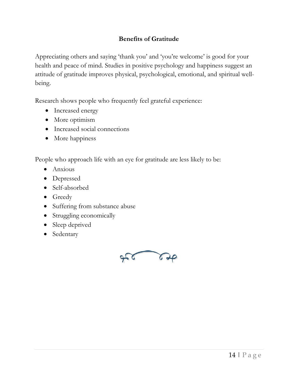#### **Benefits of Gratitude**

Appreciating others and saying 'thank you' and 'you're welcome' is good for your health and peace of mind. Studies in positive psychology and happiness suggest an attitude of gratitude improves physical, psychological, emotional, and spiritual wellbeing.

Research shows people who frequently feel grateful experience:

- Increased energy
- More optimism
- Increased social connections
- More happiness

People who approach life with an eye for gratitude are less likely to be:

- Anxious
- Depressed
- Self-absorbed
- Greedy
- Suffering from substance abuse
- Struggling economically
- Sleep deprived
- <span id="page-13-0"></span>• Sedentary

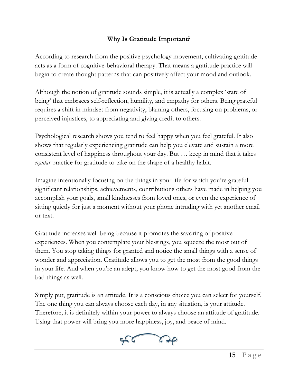#### **Why Is Gratitude Important?**

According to research from the positive psychology movement, cultivating gratitude acts as a form of cognitive-behavioral therapy. That means a gratitude practice will begin to create thought patterns that can positively affect your mood and outlook.

Although the notion of gratitude sounds simple, it is actually a complex 'state of being' that embraces self-reflection, humility, and empathy for others. Being grateful requires a shift in mindset from negativity, blaming others, focusing on problems, or perceived injustices, to appreciating and giving credit to others.

Psychological research shows you tend to feel happy when you feel grateful. It also shows that regularly experiencing gratitude can help you elevate and sustain a more consistent level of happiness throughout your day. But … keep in mind that it takes *regular* practice for gratitude to take on the shape of a healthy habit.

Imagine intentionally focusing on the things in your life for which you're grateful: significant relationships, achievements, contributions others have made in helping you accomplish your goals, small kindnesses from loved ones, or even the experience of sitting quietly for just a moment without your phone intruding with yet another email or text.

Gratitude increases well-being because it promotes the savoring of positive experiences. When you contemplate your blessings, you squeeze the most out of them. You stop taking things for granted and notice the small things with a sense of wonder and appreciation. Gratitude allows you to get the most from the good things in your life. And when you're an adept, you know how to get the most good from the bad things as well.

<span id="page-14-0"></span>Simply put, gratitude is an attitude. It is a conscious choice you can select for yourself. The one thing you can always choose each day, in any situation, is your attitude. Therefore, it is definitely within your power to always choose an attitude of gratitude. Using that power will bring you more happiness, joy, and peace of mind.

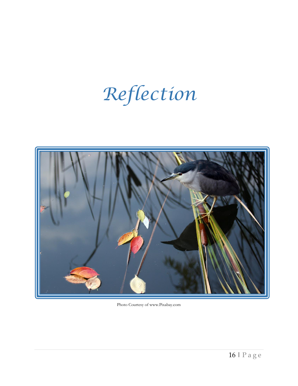## *Reflection*



Photo Courtesy of www.Pixabay.com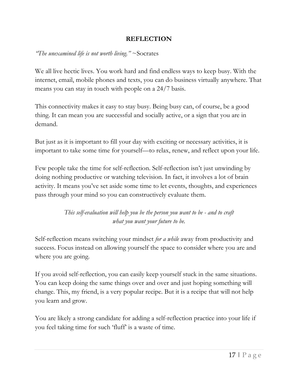#### **REFLECTION**

*"The unexamined life is not worth living."* ~Socrates

We all live hectic lives. You work hard and find endless ways to keep busy. With the internet, email, mobile phones and texts, you can do business virtually anywhere. That means you can stay in touch with people on a 24/7 basis.

This connectivity makes it easy to stay busy. Being busy can, of course, be a good thing. It can mean you are successful and socially active, or a sign that you are in demand.

But just as it is important to fill your day with exciting or necessary activities, it is important to take some time for yourself—to relax, renew, and reflect upon your life.

Few people take the time for self-reflection. Self-reflection isn't just unwinding by doing nothing productive or watching television. In fact, it involves a lot of brain activity. It means you've set aside some time to let events, thoughts, and experiences pass through your mind so you can constructively evaluate them.

> *This self-evaluation will help you be the person you want to be - and to craft what you want your future to be.*

Self-reflection means switching your mindset *for a while* away from productivity and success. Focus instead on allowing yourself the space to consider where you are and where you are going.

If you avoid self-reflection, you can easily keep yourself stuck in the same situations. You can keep doing the same things over and over and just hoping something will change. This, my friend, is a very popular recipe. But it is a recipe that will not help you learn and grow.

You are likely a strong candidate for adding a self-reflection practice into your life if you feel taking time for such 'fluff' is a waste of time.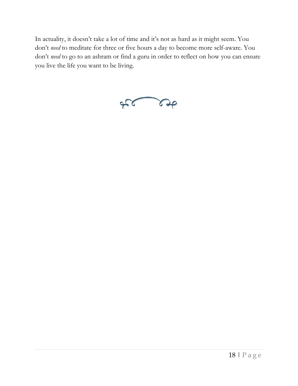In actuality, it doesn't take a lot of time and it's not as hard as it might seem. You don't *need* to meditate for three or five hours a day to become more self-aware. You don't *need* to go to an ashram or find a guru in order to reflect on how you can ensure you live the life you want to be living.

<span id="page-17-0"></span>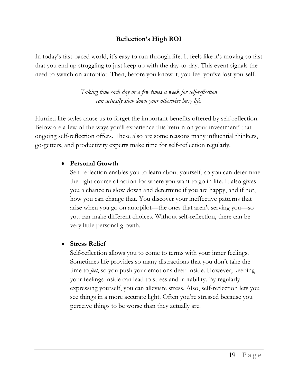#### **Reflection's High ROI**

In today's fast-paced world, it's easy to run through life. It feels like it's moving so fast that you end up struggling to just keep up with the day-to-day. This event signals the need to switch on autopilot. Then, before you know it, you feel you've lost yourself.

> *Taking time each day or a few times a week for self-reflection can actually slow down your otherwise busy life.*

Hurried life styles cause us to forget the important benefits offered by self-reflection. Below are a few of the ways you'll experience this 'return on your investment' that ongoing self-reflection offers. These also are some reasons many influential thinkers, go-getters, and productivity experts make time for self-reflection regularly.

#### • **Personal Growth**

Self-reflection enables you to learn about yourself, so you can determine the right course of action for where you want to go in life. It also gives you a chance to slow down and determine if you are happy, and if not, how you can change that. You discover your ineffective patterns that arise when you go on autopilot—the ones that aren't serving you—so you can make different choices. Without self-reflection, there can be very little personal growth.

#### • **Stress Relief**

Self-reflection allows you to come to terms with your inner feelings. Sometimes life provides so many distractions that you don't take the time to *feel*, so you push your emotions deep inside. However, keeping your feelings inside can lead to stress and irritability. By regularly expressing yourself, you can alleviate stress. Also, self-reflection lets you see things in a more accurate light. Often you're stressed because you perceive things to be worse than they actually are.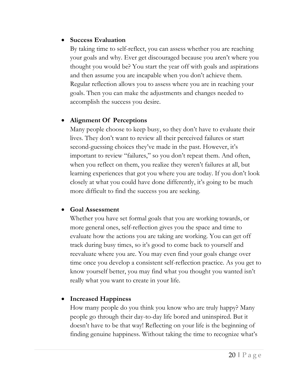#### • **Success Evaluation**

By taking time to self-reflect, you can assess whether you are reaching your goals and why. Ever get discouraged because you aren't where you thought you would be? You start the year off with goals and aspirations and then assume you are incapable when you don't achieve them. Regular reflection allows you to assess where you are in reaching your goals. Then you can make the adjustments and changes needed to accomplish the success you desire.

#### • **Alignment Of Perceptions**

Many people choose to keep busy, so they don't have to evaluate their lives. They don't want to review all their perceived failures or start second-guessing choices they've made in the past. However, it's important to review "failures," so you don't repeat them. And often, when you reflect on them, you realize they weren't failures at all, but learning experiences that got you where you are today. If you don't look closely at what you could have done differently, it's going to be much more difficult to find the success you are seeking.

#### • **Goal Assessment**

Whether you have set formal goals that you are working towards, or more general ones, self-reflection gives you the space and time to evaluate how the actions you are taking are working. You can get off track during busy times, so it's good to come back to yourself and reevaluate where you are. You may even find your goals change over time once you develop a consistent self-reflection practice. As you get to know yourself better, you may find what you thought you wanted isn't really what you want to create in your life.

#### • **Increased Happiness**

How many people do you think you know who are truly happy? Many people go through their day-to-day life bored and uninspired. But it doesn't have to be that way! Reflecting on your life is the beginning of finding genuine happiness. Without taking the time to recognize what's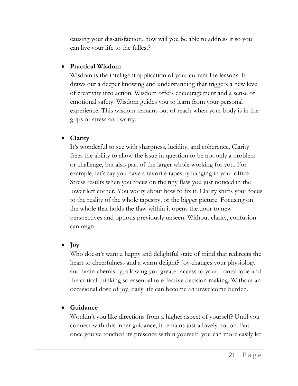causing your dissatisfaction, how will you be able to address it so you can live your life to the fullest?

#### • **Practical Wisdom**

Wisdom is the intelligent application of your current life lessons. It draws out a deeper knowing and understanding that triggers a new level of creativity into action. Wisdom offers encouragement and a sense of emotional safety. Wisdom guides you to learn from your personal experience. This wisdom remains out of reach when your body is in the grips of stress and worry.

#### • **Clarity**

It's wonderful to see with sharpness, lucidity, and coherence. Clarity frees the ability to allow the issue in question to be not only a problem or challenge, but also part of the larger whole working for you. For example, let's say you have a favorite tapestry hanging in your office. Stress results when you focus on the tiny flaw you just noticed in the lower left corner. You worry about how to fix it. Clarity shifts your focus to the reality of the whole tapestry, or the bigger picture. Focusing on the whole that holds the flaw within it opens the door to new perspectives and options previously unseen. Without clarity, confusion can reign.

#### • **Joy**

Who doesn't want a happy and delightful state of mind that redirects the heart to cheerfulness and a warm delight? Joy changes your physiology and brain chemistry, allowing you greater access to your frontal lobe and the critical thinking so essential to effective decision making. Without an occasional dose of joy, daily life can become an unwelcome burden.

## • **Guidance**

Wouldn't you like directions from a higher aspect of yourself? Until you connect with this inner guidance, it remains just a lovely notion. But once you've touched its presence within yourself, you can more easily let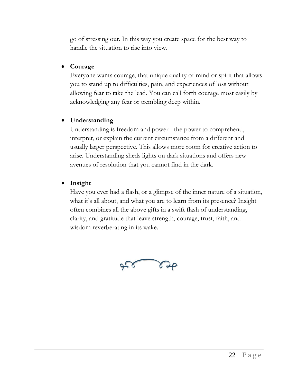go of stressing out. In this way you create space for the best way to handle the situation to rise into view.

#### • **Courage**

Everyone wants courage, that unique quality of mind or spirit that allows you to stand up to difficulties, pain, and experiences of loss without allowing fear to take the lead. You can call forth courage most easily by acknowledging any fear or trembling deep within.

#### • **Understanding**

Understanding is freedom and power - the power to comprehend, interpret, or explain the current circumstance from a different and usually larger perspective. This allows more room for creative action to arise. Understanding sheds lights on dark situations and offers new avenues of resolution that you cannot find in the dark.

#### • **Insight**

<span id="page-21-0"></span>Have you ever had a flash, or a glimpse of the inner nature of a situation, what it's all about, and what you are to learn from its presence? Insight often combines all the above gifts in a swift flash of understanding, clarity, and gratitude that leave strength, courage, trust, faith, and wisdom reverberating in its wake.

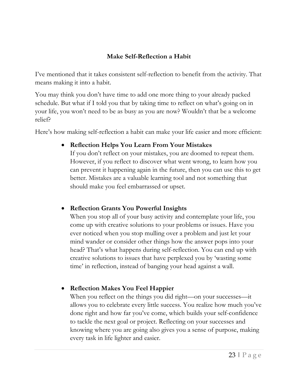#### **Make Self-Reflection a Habit**

I've mentioned that it takes consistent self-reflection to benefit from the activity. That means making it into a habit.

You may think you don't have time to add one more thing to your already packed schedule. But what if I told you that by taking time to reflect on what's going on in your life, you won't need to be as busy as you are now? Wouldn't that be a welcome relief?

Here's how making self-reflection a habit can make your life easier and more efficient:

#### • **Reflection Helps You Learn From Your Mistakes**

If you don't reflect on your mistakes, you are doomed to repeat them. However, if you reflect to discover what went wrong, to learn how you can prevent it happening again in the future, then you can use this to get better. Mistakes are a valuable learning tool and not something that should make you feel embarrassed or upset.

#### • **Reflection Grants You Powerful Insights**

When you stop all of your busy activity and contemplate your life, you come up with creative solutions to your problems or issues. Have you ever noticed when you stop mulling over a problem and just let your mind wander or consider other things how the answer pops into your head? That's what happens during self-reflection. You can end up with creative solutions to issues that have perplexed you by 'wasting some time' in reflection, instead of banging your head against a wall.

• **Reflection Makes You Feel Happier**

When you reflect on the things you did right—on your successes—it allows you to celebrate every little success. You realize how much you've done right and how far you've come, which builds your self-confidence to tackle the next goal or project. Reflecting on your successes and knowing where you are going also gives you a sense of purpose, making every task in life lighter and easier.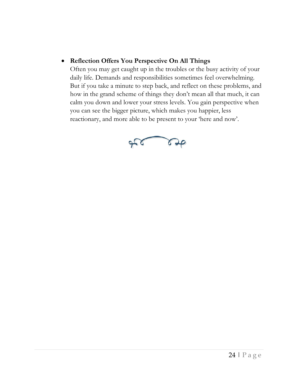#### • **Reflection Offers You Perspective On All Things**

<span id="page-23-0"></span>Often you may get caught up in the troubles or the busy activity of your daily life. Demands and responsibilities sometimes feel overwhelming. But if you take a minute to step back, and reflect on these problems, and how in the grand scheme of things they don't mean all that much, it can calm you down and lower your stress levels. You gain perspective when you can see the bigger picture, which makes you happier, less reactionary, and more able to be present to your 'here and now'.

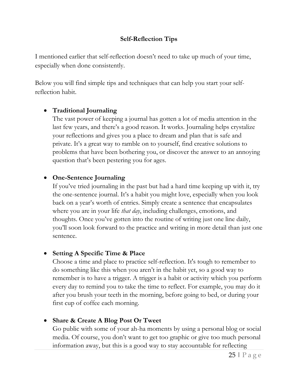#### **Self-Reflection Tips**

I mentioned earlier that self-reflection doesn't need to take up much of your time, especially when done consistently.

Below you will find simple tips and techniques that can help you start your selfreflection habit.

#### • **Traditional Journaling**

The vast power of keeping a journal has gotten a lot of media attention in the last few years, and there's a good reason. It works. Journaling helps crystalize your reflections and gives you a place to dream and plan that is safe and private. It's a great way to ramble on to yourself, find creative solutions to problems that have been bothering you, or discover the answer to an annoying question that's been pestering you for ages.

#### • **One-Sentence Journaling**

If you've tried journaling in the past but had a hard time keeping up with it, try the one-sentence journal. It's a habit you might love, especially when you look back on a year's worth of entries. Simply create a sentence that encapsulates where you are in your life *that day*, including challenges, emotions, and thoughts. Once you've gotten into the routine of writing just one line daily, you'll soon look forward to the practice and writing in more detail than just one sentence.

#### • **Setting A Specific Time & Place**

Choose a time and place to practice self-reflection. It's tough to remember to do something like this when you aren't in the habit yet, so a good way to remember is to have a trigger. A trigger is a habit or activity which you perform every day to remind you to take the time to reflect. For example, you may do it after you brush your teeth in the morning, before going to bed, or during your first cup of coffee each morning.

#### • **Share & Create A Blog Post Or Tweet**

Go public with some of your ah-ha moments by using a personal blog or social media. Of course, you don't want to get too graphic or give too much personal information away, but this is a good way to stay accountable for reflecting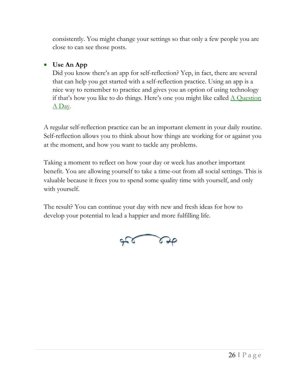consistently. You might change your settings so that only a few people you are close to can see those posts.

#### • **Use An App**

Did you know there's an app for self-reflection? Yep, in fact, there are several that can help you get started with a self-reflection practice. Using an app is a nice way to remember to practice and gives you an option of using technology if that's how you like to do things. Here's one you might like called  $\triangle$  Question [A Day.](https://www.dayspring.com/a-question-a-day-a-3-year-inspirational-journey-journal)

A regular self-reflection practice can be an important element in your daily routine. Self-reflection allows you to think about how things are working for or against you at the moment, and how you want to tackle any problems.

Taking a moment to reflect on how your day or week has another important benefit. You are allowing yourself to take a time-out from all social settings. This is valuable because it frees you to spend some quality time with yourself, and only with yourself.

The result? You can continue your day with new and fresh ideas for how to develop your potential to lead a happier and more fulfilling life.

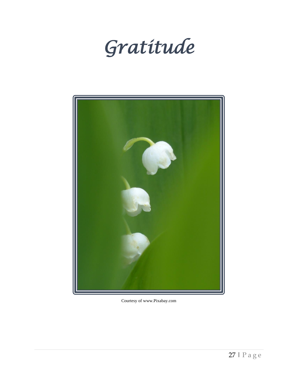<span id="page-26-0"></span>



Courtesy of www.Pixabay.com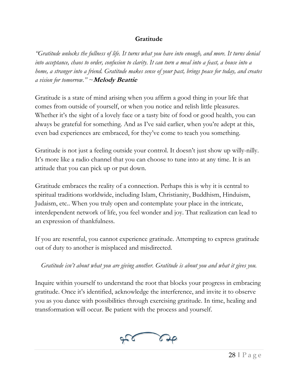#### **Gratitude**

*"Gratitude unlocks the fullness of life. It turns what you have into enough, and more. It turns denial into acceptance, chaos to order, confusion to clarity. It can turn a meal into a feast, a house into a home, a stranger into a friend. Gratitude makes sense of your past, brings peace for today, and creates a vision for tomorrow." ~***Melody Beattie**

Gratitude is a state of mind arising when you affirm a good thing in your life that comes from outside of yourself, or when you notice and relish little pleasures. Whether it's the sight of a lovely face or a tasty bite of food or good health, you can always be grateful for something. And as I've said earlier, when you're adept at this, even bad experiences are embraced, for they've come to teach you something.

Gratitude is not just a feeling outside your control. It doesn't just show up willy-nilly. It's more like a radio channel that you can choose to tune into at any time. It is an attitude that you can pick up or put down.

Gratitude embraces the reality of a connection. Perhaps this is why it is central to spiritual traditions worldwide, including Islam, Christianity, Buddhism, Hinduism, Judaism, etc.. When you truly open and contemplate your place in the intricate, interdependent network of life, you feel wonder and joy. That realization can lead to an expression of thankfulness.

If you are resentful, you cannot experience gratitude. Attempting to express gratitude out of duty to another is misplaced and misdirected.

*Gratitude isn't about what you are giving another. Gratitude is about you and what it gives you.*

Inquire within yourself to understand the root that blocks your progress in embracing gratitude. Once it's identified, acknowledge the interference, and invite it to observe you as you dance with possibilities through exercising gratitude. In time, healing and transformation will occur. Be patient with the process and yourself.

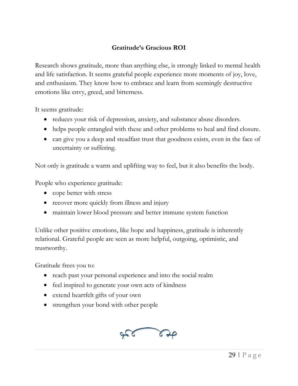#### **Gratitude's Gracious ROI**

<span id="page-28-0"></span>Research shows gratitude, more than anything else, is strongly linked to mental health and life satisfaction. It seems grateful people experience more moments of joy, love, and enthusiasm. They know how to embrace and learn from seemingly destructive emotions like envy, greed, and bitterness.

It seems gratitude:

- reduces your risk of depression, anxiety, and substance abuse disorders.
- helps people entangled with these and other problems to heal and find closure.
- can give you a deep and steadfast trust that goodness exists, even in the face of uncertainty or suffering.

Not only is gratitude a warm and uplifting way to feel, but it also benefits the body.

People who experience gratitude:

- cope better with stress
- recover more quickly from illness and injury
- maintain lower blood pressure and better immune system function

Unlike other positive emotions, like hope and happiness, gratitude is inherently relational. Grateful people are seen as more helpful, outgoing, optimistic, and trustworthy.

Gratitude frees you to:

- reach past your personal experience and into the social realm
- feel inspired to generate your own acts of kindness
- extend heartfelt gifts of your own
- strengthen your bond with other people

<span id="page-28-1"></span>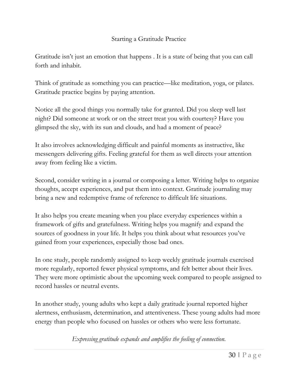#### Starting a Gratitude Practice

Gratitude isn't just an emotion that happens . It is a state of being that you can call forth and inhabit.

Think of gratitude as something you can practice—like meditation, yoga, or pilates. Gratitude practice begins by paying attention.

Notice all the good things you normally take for granted. Did you sleep well last night? Did someone at work or on the street treat you with courtesy? Have you glimpsed the sky, with its sun and clouds, and had a moment of peace?

It also involves acknowledging difficult and painful moments as instructive, like messengers delivering gifts. Feeling grateful for them as well directs your attention away from feeling like a victim.

Second, consider writing in a journal or composing a letter. Writing helps to organize thoughts, accept experiences, and put them into context. Gratitude journaling may bring a new and redemptive frame of reference to difficult life situations.

It also helps you create meaning when you place everyday experiences within a framework of gifts and gratefulness. Writing helps you magnify and expand the sources of goodness in your life. It helps you think about what resources you've gained from your experiences, especially those bad ones.

In one study, people randomly assigned to keep weekly gratitude journals exercised more regularly, reported fewer physical symptoms, and felt better about their lives. They were more optimistic about the upcoming week compared to people assigned to record hassles or neutral events.

In another study, young adults who kept a daily gratitude journal reported higher alertness, enthusiasm, determination, and attentiveness. These young adults had more energy than people who focused on hassles or others who were less fortunate.

*Expressing gratitude expands and amplifies the feeling of connection.*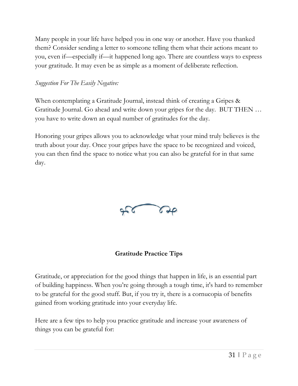Many people in your life have helped you in one way or another. Have you thanked them? Consider sending a letter to someone telling them what their actions meant to you, even if—especially if—it happened long ago. There are countless ways to express your gratitude. It may even be as simple as a moment of deliberate reflection.

#### *Suggestion For The Easily Negative:*

When contemplating a Gratitude Journal, instead think of creating a Gripes & Gratitude Journal. Go ahead and write down your gripes for the day. BUT THEN … you have to write down an equal number of gratitudes for the day.

<span id="page-30-0"></span>Honoring your gripes allows you to acknowledge what your mind truly believes is the truth about your day. Once your gripes have the space to be recognized and voiced, you can then find the space to notice what you can also be grateful for in that same day.



## **Gratitude Practice Tips**

Gratitude, or appreciation for the good things that happen in life, is an essential part of building happiness. When you're going through a tough time, it's hard to remember to be grateful for the good stuff. But, if you try it, there is a cornucopia of benefits gained from working gratitude into your everyday life.

Here are a few tips to help you practice gratitude and increase your awareness of things you can be grateful for: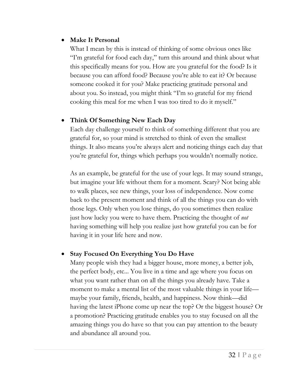#### • **Make It Personal**

What I mean by this is instead of thinking of some obvious ones like "I'm grateful for food each day," turn this around and think about what this specifically means for you. How are you grateful for the food? Is it because you can afford food? Because you're able to eat it? Or because someone cooked it for you? Make practicing gratitude personal and about you. So instead, you might think "I'm so grateful for my friend cooking this meal for me when I was too tired to do it myself."

#### • **Think Of Something New Each Day**

Each day challenge yourself to think of something different that you are grateful for, so your mind is stretched to think of even the smallest things. It also means you're always alert and noticing things each day that you're grateful for, things which perhaps you wouldn't normally notice.

As an example, be grateful for the use of your legs. It may sound strange, but imagine your life without them for a moment. Scary? Not being able to walk places, see new things, your loss of independence. Now come back to the present moment and think of all the things you can do with those legs. Only when you lose things, do you sometimes then realize just how lucky you were to have them. Practicing the thought of *not* having something will help you realize just how grateful you can be for having it in your life here and now.

#### • **Stay Focused On Everything You Do Have**

Many people wish they had a bigger house, more money, a better job, the perfect body, etc... You live in a time and age where you focus on what you want rather than on all the things you already have. Take a moment to make a mental list of the most valuable things in your life maybe your family, friends, health, and happiness. Now think—did having the latest iPhone come up near the top? Or the biggest house? Or a promotion? Practicing gratitude enables you to stay focused on all the amazing things you do have so that you can pay attention to the beauty and abundance all around you.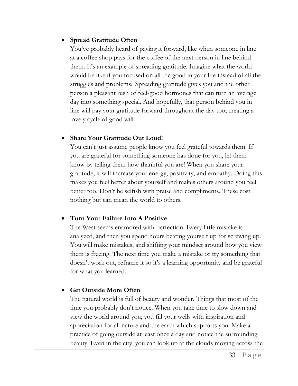#### • **Spread Gratitude Often**

You've probably heard of paying it forward, like when someone in line at a coffee shop pays for the coffee of the next person in line behind them. It's an example of spreading gratitude. Imagine what the world would be like if you focused on all the good in your life instead of all the struggles and problems? Spreading gratitude gives you and the other person a pleasant rush of feel-good hormones that can turn an average day into something special. And hopefully, that person behind you in line will pay your gratitude forward throughout the day too, creating a lovely cycle of good will.

#### • **Share Your Gratitude Out Loud!**

You can't just assume people know you feel grateful towards them. If you are grateful for something someone has done for you, let them know by telling them how thankful you are! When you share your gratitude, it will increase your energy, positivity, and empathy. Doing this makes you feel better about yourself and makes others around you feel better too. Don't be selfish with praise and compliments. These cost nothing but can mean the world to others.

#### • **Turn Your Failure Into A Positive**

The West seems enamored with perfection. Every little mistake is analyzed, and then you spend hours beating yourself up for screwing up. You will make mistakes, and shifting your mindset around how you view them is freeing. The next time you make a mistake or try something that doesn't work out, reframe it so it's a learning opportunity and be grateful for what you learned.

#### • **Get Outside More Often**

The natural world is full of beauty and wonder. Things that most of the time you probably don't notice. When you take time to slow down and view the world around you, you fill your wells with inspiration and appreciation for all nature and the earth which supports you. Make a practice of going outside at least once a day and notice the surrounding beauty. Even in the city, you can look up at the clouds moving across the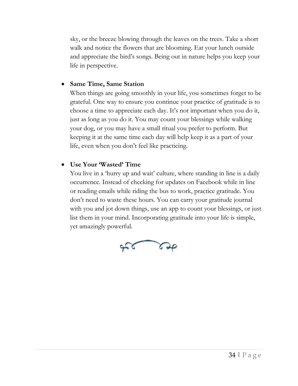sky, or the breeze blowing through the leaves on the trees. Take a short walk and notice the flowers that are blooming. Eat your lunch outside and appreciate the bird's songs. Being out in nature helps you keep your life in perspective.

#### • **Same Time, Same Station**

When things are going smoothly in your life, you sometimes forget to be grateful. One way to ensure you continue your practice of gratitude is to choose a time to appreciate each day. It's not important when you do it, just as long as you do it. You may count your blessings while walking your dog, or you may have a small ritual you prefer to perform. But keeping it at the same time each day will help keep it as a part of your life, even when you don't feel like practicing.

#### • **Use Your 'Wasted' Time**

You live in a 'hurry up and wait' culture, where standing in line is a daily occurrence. Instead of checking for updates on Facebook while in line or reading emails while riding the bus to work, practice gratitude. You don't need to waste these hours. You can carry your gratitude journal with you and jot down things, use an app to count your blessings, or just list them in your mind. Incorporating gratitude into your life is simple, yet amazingly powerful.

<span id="page-33-0"></span>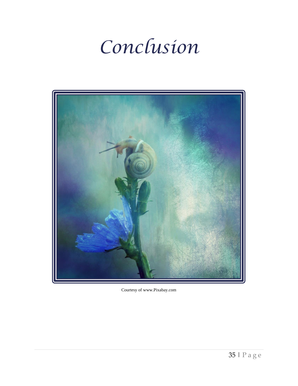## *Conclusion*



Courtesy of www.Pixabay.com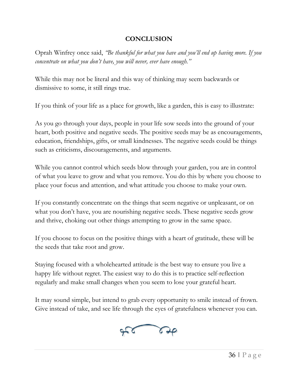#### **CONCLUSION**

Oprah Winfrey once said, *"Be thankful for what you have and you'll end up having more. If you concentrate on what you don't have, you will never, ever have enough."* 

While this may not be literal and this way of thinking may seem backwards or dismissive to some, it still rings true.

If you think of your life as a place for growth, like a garden, this is easy to illustrate:

As you go through your days, people in your life sow seeds into the ground of your heart, both positive and negative seeds. The positive seeds may be as encouragements, education, friendships, gifts, or small kindnesses. The negative seeds could be things such as criticisms, discouragements, and arguments.

While you cannot control which seeds blow through your garden, you are in control of what you leave to grow and what you remove. You do this by where you choose to place your focus and attention, and what attitude you choose to make your own.

If you constantly concentrate on the things that seem negative or unpleasant, or on what you don't have, you are nourishing negative seeds. These negative seeds grow and thrive, choking out other things attempting to grow in the same space.

If you choose to focus on the positive things with a heart of gratitude, these will be the seeds that take root and grow.

Staying focused with a wholehearted attitude is the best way to ensure you live a happy life without regret. The easiest way to do this is to practice self-reflection regularly and make small changes when you seem to lose your grateful heart.

It may sound simple, but intend to grab every opportunity to smile instead of frown. Give instead of take, and see life through the eyes of gratefulness whenever you can.